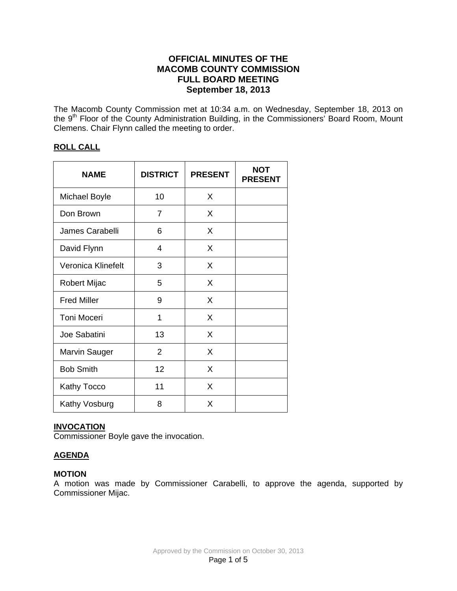# **OFFICIAL MINUTES OF THE MACOMB COUNTY COMMISSION FULL BOARD MEETING September 18, 2013**

The Macomb County Commission met at 10:34 a.m. on Wednesday, September 18, 2013 on the 9<sup>th</sup> Floor of the County Administration Building, in the Commissioners' Board Room, Mount Clemens. Chair Flynn called the meeting to order.

## **ROLL CALL**

| <b>NAME</b>          | <b>DISTRICT</b> | <b>PRESENT</b> | <b>NOT</b><br><b>PRESENT</b> |
|----------------------|-----------------|----------------|------------------------------|
| <b>Michael Boyle</b> | 10              | X              |                              |
| Don Brown            | 7               | X              |                              |
| James Carabelli      | 6               | X              |                              |
| David Flynn          | 4               | X              |                              |
| Veronica Klinefelt   | 3               | X              |                              |
| <b>Robert Mijac</b>  | 5               | X              |                              |
| <b>Fred Miller</b>   | 9               | X              |                              |
| <b>Toni Moceri</b>   | 1               | X              |                              |
| Joe Sabatini         | 13              | X              |                              |
| <b>Marvin Sauger</b> | $\overline{2}$  | X              |                              |
| <b>Bob Smith</b>     | 12              | X              |                              |
| Kathy Tocco          | 11              | X              |                              |
| Kathy Vosburg        | 8               | X              |                              |

## **INVOCATION**

Commissioner Boyle gave the invocation.

# **AGENDA**

## **MOTION**

A motion was made by Commissioner Carabelli, to approve the agenda, supported by Commissioner Mijac.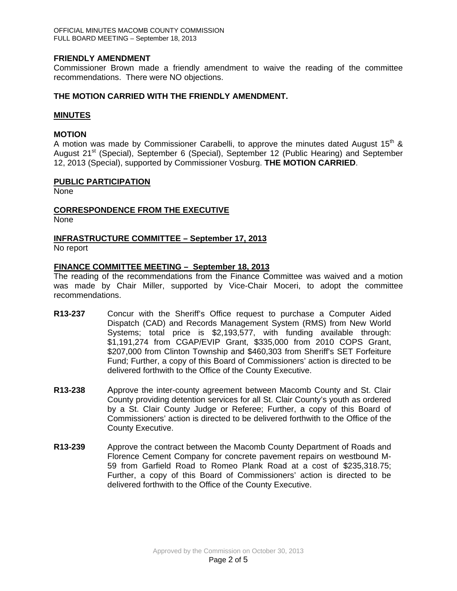## **FRIENDLY AMENDMENT**

Commissioner Brown made a friendly amendment to waive the reading of the committee recommendations. There were NO objections.

## **THE MOTION CARRIED WITH THE FRIENDLY AMENDMENT.**

#### **MINUTES**

## **MOTION**

A motion was made by Commissioner Carabelli, to approve the minutes dated August 15<sup>th</sup> & August 21<sup>st</sup> (Special), September 6 (Special), September 12 (Public Hearing) and September 12, 2013 (Special), supported by Commissioner Vosburg. **THE MOTION CARRIED**.

#### **PUBLIC PARTICIPATION**

None

## **CORRESPONDENCE FROM THE EXECUTIVE**

None

# **INFRASTRUCTURE COMMITTEE – September 17, 2013**

No report

## **FINANCE COMMITTEE MEETING – September 18, 2013**

The reading of the recommendations from the Finance Committee was waived and a motion was made by Chair Miller, supported by Vice-Chair Moceri, to adopt the committee recommendations.

- **R13-237** Concur with the Sheriff's Office request to purchase a Computer Aided Dispatch (CAD) and Records Management System (RMS) from New World Systems; total price is \$2,193,577, with funding available through: \$1,191,274 from CGAP/EVIP Grant, \$335,000 from 2010 COPS Grant, \$207,000 from Clinton Township and \$460,303 from Sheriff's SET Forfeiture Fund; Further, a copy of this Board of Commissioners' action is directed to be delivered forthwith to the Office of the County Executive.
- **R13-238** Approve the inter-county agreement between Macomb County and St. Clair County providing detention services for all St. Clair County's youth as ordered by a St. Clair County Judge or Referee; Further, a copy of this Board of Commissioners' action is directed to be delivered forthwith to the Office of the County Executive.
- **R13-239** Approve the contract between the Macomb County Department of Roads and Florence Cement Company for concrete pavement repairs on westbound M-59 from Garfield Road to Romeo Plank Road at a cost of \$235,318.75; Further, a copy of this Board of Commissioners' action is directed to be delivered forthwith to the Office of the County Executive.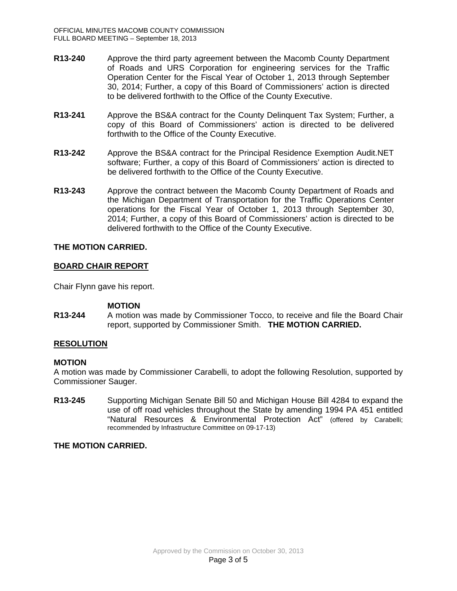- **R13-240** Approve the third party agreement between the Macomb County Department of Roads and URS Corporation for engineering services for the Traffic Operation Center for the Fiscal Year of October 1, 2013 through September 30, 2014; Further, a copy of this Board of Commissioners' action is directed to be delivered forthwith to the Office of the County Executive.
- **R13-241** Approve the BS&A contract for the County Delinquent Tax System; Further, a copy of this Board of Commissioners' action is directed to be delivered forthwith to the Office of the County Executive.
- **R13-242** Approve the BS&A contract for the Principal Residence Exemption Audit.NET software; Further, a copy of this Board of Commissioners' action is directed to be delivered forthwith to the Office of the County Executive.
- **R13-243** Approve the contract between the Macomb County Department of Roads and the Michigan Department of Transportation for the Traffic Operations Center operations for the Fiscal Year of October 1, 2013 through September 30, 2014; Further, a copy of this Board of Commissioners' action is directed to be delivered forthwith to the Office of the County Executive.

## **THE MOTION CARRIED.**

## **BOARD CHAIR REPORT**

Chair Flynn gave his report.

## **MOTION**

**R13-244** A motion was made by Commissioner Tocco, to receive and file the Board Chair report, supported by Commissioner Smith. **THE MOTION CARRIED.**

## **RESOLUTION**

## **MOTION**

A motion was made by Commissioner Carabelli, to adopt the following Resolution, supported by Commissioner Sauger.

**R13-245** Supporting Michigan Senate Bill 50 and Michigan House Bill 4284 to expand the use of off road vehicles throughout the State by amending 1994 PA 451 entitled "Natural Resources & Environmental Protection Act" (offered by Carabelli; recommended by Infrastructure Committee on 09-17-13)

## **THE MOTION CARRIED.**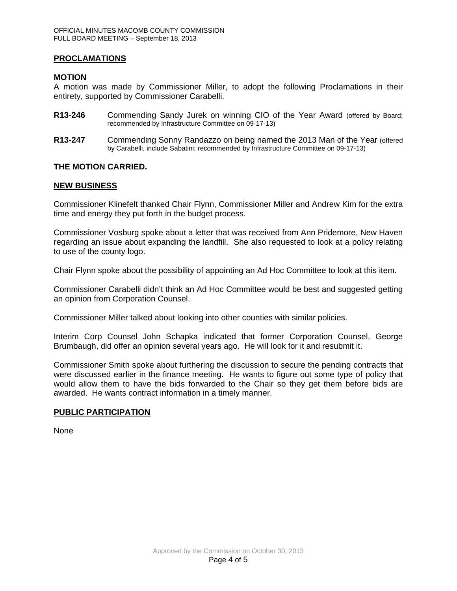## **PROCLAMATIONS**

## **MOTION**

A motion was made by Commissioner Miller, to adopt the following Proclamations in their entirety, supported by Commissioner Carabelli.

- **R13-246** Commending Sandy Jurek on winning CIO of the Year Award (offered by Board; recommended by Infrastructure Committee on 09-17-13)
- **R13-247** Commending Sonny Randazzo on being named the 2013 Man of the Year (offered by Carabelli, include Sabatini; recommended by Infrastructure Committee on 09-17-13)

## **THE MOTION CARRIED.**

## **NEW BUSINESS**

Commissioner Klinefelt thanked Chair Flynn, Commissioner Miller and Andrew Kim for the extra time and energy they put forth in the budget process.

Commissioner Vosburg spoke about a letter that was received from Ann Pridemore, New Haven regarding an issue about expanding the landfill. She also requested to look at a policy relating to use of the county logo.

Chair Flynn spoke about the possibility of appointing an Ad Hoc Committee to look at this item.

Commissioner Carabelli didn't think an Ad Hoc Committee would be best and suggested getting an opinion from Corporation Counsel.

Commissioner Miller talked about looking into other counties with similar policies.

Interim Corp Counsel John Schapka indicated that former Corporation Counsel, George Brumbaugh, did offer an opinion several years ago. He will look for it and resubmit it.

Commissioner Smith spoke about furthering the discussion to secure the pending contracts that were discussed earlier in the finance meeting. He wants to figure out some type of policy that would allow them to have the bids forwarded to the Chair so they get them before bids are awarded. He wants contract information in a timely manner.

## **PUBLIC PARTICIPATION**

None